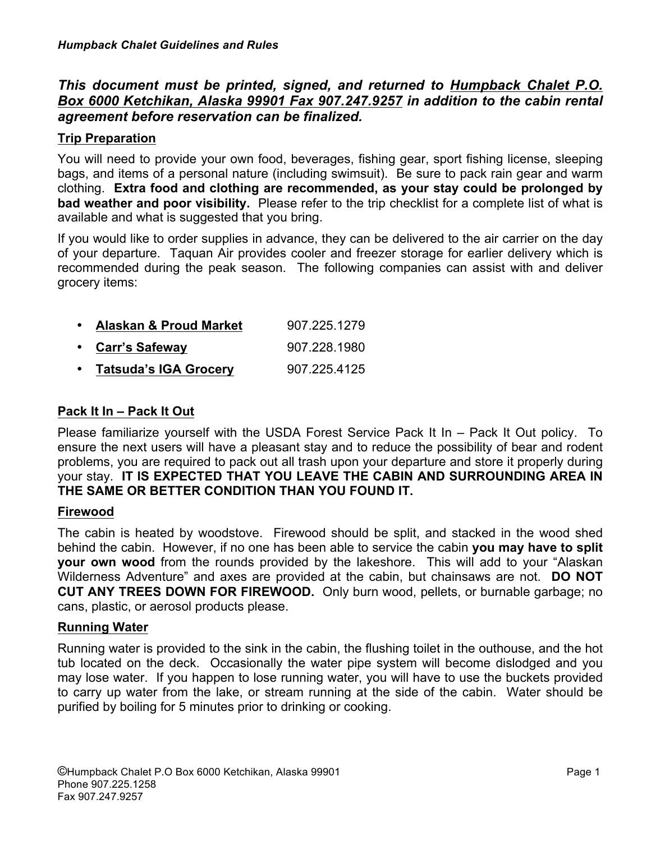# *This document must be printed, signed, and returned to Humpback Chalet P.O. Box 6000 Ketchikan, Alaska 99901 Fax 907.247.9257 in addition to the cabin rental agreement before reservation can be finalized.*

# **Trip Preparation**

You will need to provide your own food, beverages, fishing gear, sport fishing license, sleeping bags, and items of a personal nature (including swimsuit). Be sure to pack rain gear and warm clothing. **Extra food and clothing are recommended, as your stay could be prolonged by bad weather and poor visibility.** Please refer to the trip checklist for a complete list of what is available and what is suggested that you bring.

If you would like to order supplies in advance, they can be delivered to the air carrier on the day of your departure. Taquan Air provides cooler and freezer storage for earlier delivery which is recommended during the peak season. The following companies can assist with and deliver grocery items:

| • Alaskan & Proud Market | 907.225.1279 |
|--------------------------|--------------|
| • Carr's Safeway         | 907.228.1980 |
| • Tatsuda's IGA Grocery  | 907.225.4125 |

# **Pack It In – Pack It Out**

Please familiarize yourself with the USDA Forest Service Pack It In – Pack It Out policy. To ensure the next users will have a pleasant stay and to reduce the possibility of bear and rodent problems, you are required to pack out all trash upon your departure and store it properly during your stay. **IT IS EXPECTED THAT YOU LEAVE THE CABIN AND SURROUNDING AREA IN THE SAME OR BETTER CONDITION THAN YOU FOUND IT.** 

## **Firewood**

The cabin is heated by woodstove. Firewood should be split, and stacked in the wood shed behind the cabin. However, if no one has been able to service the cabin **you may have to split your own wood** from the rounds provided by the lakeshore. This will add to your "Alaskan Wilderness Adventure" and axes are provided at the cabin, but chainsaws are not. **DO NOT CUT ANY TREES DOWN FOR FIREWOOD.** Only burn wood, pellets, or burnable garbage; no cans, plastic, or aerosol products please.

# **Running Water**

Running water is provided to the sink in the cabin, the flushing toilet in the outhouse, and the hot tub located on the deck. Occasionally the water pipe system will become dislodged and you may lose water. If you happen to lose running water, you will have to use the buckets provided to carry up water from the lake, or stream running at the side of the cabin. Water should be purified by boiling for 5 minutes prior to drinking or cooking.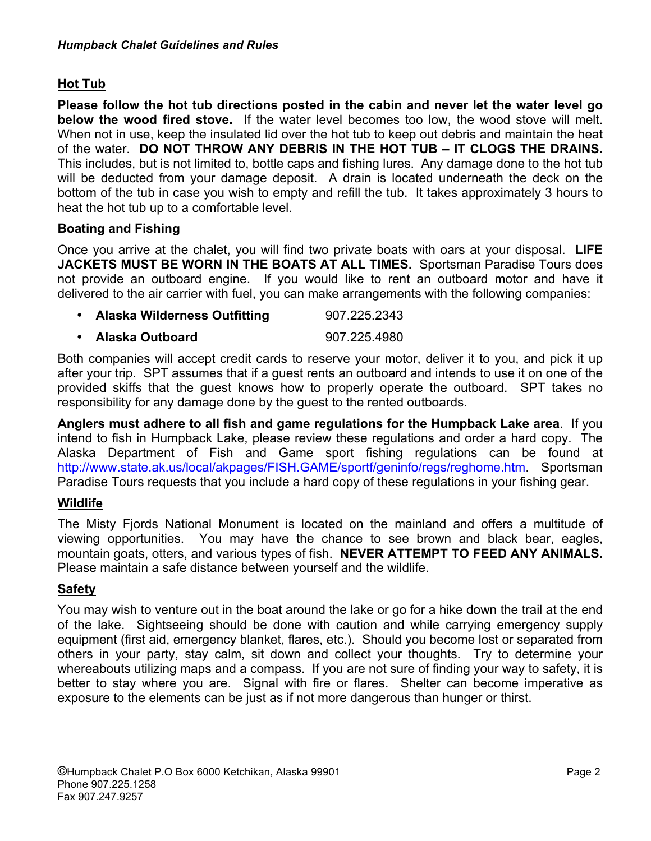# **Hot Tub**

**Please follow the hot tub directions posted in the cabin and never let the water level go below the wood fired stove.** If the water level becomes too low, the wood stove will melt. When not in use, keep the insulated lid over the hot tub to keep out debris and maintain the heat of the water. **DO NOT THROW ANY DEBRIS IN THE HOT TUB – IT CLOGS THE DRAINS.**  This includes, but is not limited to, bottle caps and fishing lures. Any damage done to the hot tub will be deducted from your damage deposit. A drain is located underneath the deck on the bottom of the tub in case you wish to empty and refill the tub. It takes approximately 3 hours to heat the hot tub up to a comfortable level.

## **Boating and Fishing**

Once you arrive at the chalet, you will find two private boats with oars at your disposal. **LIFE JACKETS MUST BE WORN IN THE BOATS AT ALL TIMES.** Sportsman Paradise Tours does not provide an outboard engine. If you would like to rent an outboard motor and have it delivered to the air carrier with fuel, you can make arrangements with the following companies:

- **Alaska Wilderness Outfitting 807.225.2343**
- **Alaska Outboard** 907.225.4980

Both companies will accept credit cards to reserve your motor, deliver it to you, and pick it up after your trip. SPT assumes that if a guest rents an outboard and intends to use it on one of the provided skiffs that the guest knows how to properly operate the outboard. SPT takes no responsibility for any damage done by the guest to the rented outboards.

**Anglers must adhere to all fish and game regulations for the Humpback Lake area**. If you intend to fish in Humpback Lake, please review these regulations and order a hard copy. The Alaska Department of Fish and Game sport fishing regulations can be found at http://www.state.ak.us/local/akpages/FISH.GAME/sportf/geninfo/regs/reghome.htm. Sportsman Paradise Tours requests that you include a hard copy of these regulations in your fishing gear.

# **Wildlife**

The Misty Fjords National Monument is located on the mainland and offers a multitude of viewing opportunities. You may have the chance to see brown and black bear, eagles, mountain goats, otters, and various types of fish. **NEVER ATTEMPT TO FEED ANY ANIMALS.**  Please maintain a safe distance between yourself and the wildlife.

# **Safety**

You may wish to venture out in the boat around the lake or go for a hike down the trail at the end of the lake. Sightseeing should be done with caution and while carrying emergency supply equipment (first aid, emergency blanket, flares, etc.). Should you become lost or separated from others in your party, stay calm, sit down and collect your thoughts. Try to determine your whereabouts utilizing maps and a compass. If you are not sure of finding your way to safety, it is better to stay where you are. Signal with fire or flares. Shelter can become imperative as exposure to the elements can be just as if not more dangerous than hunger or thirst.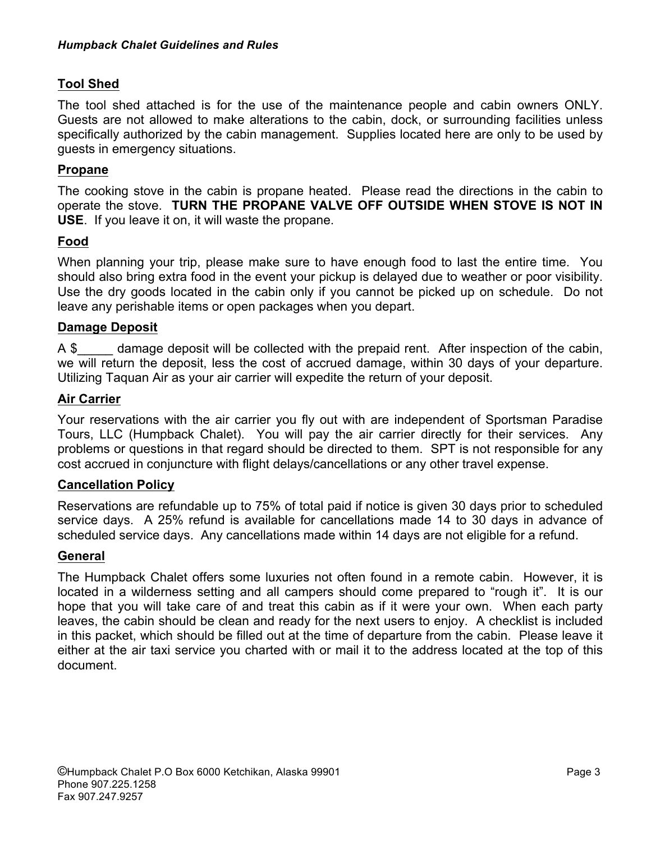## **Tool Shed**

The tool shed attached is for the use of the maintenance people and cabin owners ONLY. Guests are not allowed to make alterations to the cabin, dock, or surrounding facilities unless specifically authorized by the cabin management. Supplies located here are only to be used by guests in emergency situations.

## **Propane**

The cooking stove in the cabin is propane heated. Please read the directions in the cabin to operate the stove. **TURN THE PROPANE VALVE OFF OUTSIDE WHEN STOVE IS NOT IN USE**. If you leave it on, it will waste the propane.

## **Food**

When planning your trip, please make sure to have enough food to last the entire time. You should also bring extra food in the event your pickup is delayed due to weather or poor visibility. Use the dry goods located in the cabin only if you cannot be picked up on schedule. Do not leave any perishable items or open packages when you depart.

## **Damage Deposit**

A \$ damage deposit will be collected with the prepaid rent. After inspection of the cabin, we will return the deposit, less the cost of accrued damage, within 30 days of your departure. Utilizing Taquan Air as your air carrier will expedite the return of your deposit.

## **Air Carrier**

Your reservations with the air carrier you fly out with are independent of Sportsman Paradise Tours, LLC (Humpback Chalet). You will pay the air carrier directly for their services. Any problems or questions in that regard should be directed to them. SPT is not responsible for any cost accrued in conjuncture with flight delays/cancellations or any other travel expense.

## **Cancellation Policy**

Reservations are refundable up to 75% of total paid if notice is given 30 days prior to scheduled service days. A 25% refund is available for cancellations made 14 to 30 days in advance of scheduled service days. Any cancellations made within 14 days are not eligible for a refund.

## **General**

The Humpback Chalet offers some luxuries not often found in a remote cabin. However, it is located in a wilderness setting and all campers should come prepared to "rough it". It is our hope that you will take care of and treat this cabin as if it were your own. When each party leaves, the cabin should be clean and ready for the next users to enjoy. A checklist is included in this packet, which should be filled out at the time of departure from the cabin. Please leave it either at the air taxi service you charted with or mail it to the address located at the top of this document.